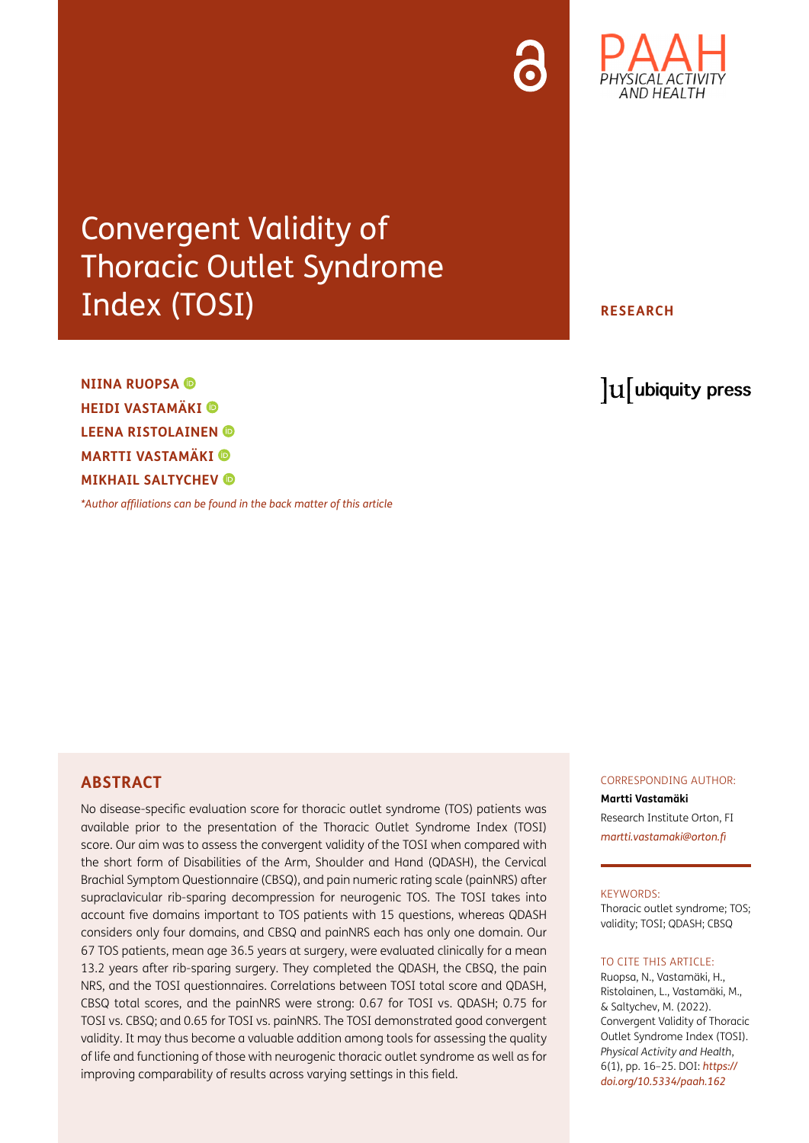

## Convergent Validity of Thoracic Outlet Syndrome Index (TOSI)

**NIINA RUOPSA HEIDI VASTAMÄKI LEENA RISTOLAINEN MARTTI VASTAMÄKI MIKHAIL SALTYCHEV** 

*[\\*Author affiliations can be found in the back matter of this article](#page-7-0)*

**RESEARCH**

lu ubiquity press

#### **ABSTRACT**

No disease-specific evaluation score for thoracic outlet syndrome (TOS) patients was available prior to the presentation of the Thoracic Outlet Syndrome Index (TOSI) score. Our aim was to assess the convergent validity of the TOSI when compared with the short form of Disabilities of the Arm, Shoulder and Hand (QDASH), the Cervical Brachial Symptom Questionnaire (CBSQ), and pain numeric rating scale (painNRS) after supraclavicular rib-sparing decompression for neurogenic TOS. The TOSI takes into account five domains important to TOS patients with 15 questions, whereas QDASH considers only four domains, and CBSQ and painNRS each has only one domain. Our 67 TOS patients, mean age 36.5 years at surgery, were evaluated clinically for a mean 13.2 years after rib-sparing surgery. They completed the QDASH, the CBSQ, the pain NRS, and the TOSI questionnaires. Correlations between TOSI total score and QDASH, CBSQ total scores, and the painNRS were strong: 0.67 for TOSI vs. QDASH; 0.75 for TOSI vs. CBSQ; and 0.65 for TOSI vs. painNRS. The TOSI demonstrated good convergent validity. It may thus become a valuable addition among tools for assessing the quality of life and functioning of those with neurogenic thoracic outlet syndrome as well as for improving comparability of results across varying settings in this field.

#### CORRESPONDING AUTHOR:

**Martti Vastamäki** Research Institute Orton, FI *[martti.vastamaki@orton.fi](mailto:martti.vastamaki@orton.fi)*

#### KEYWORDS:

Thoracic outlet syndrome; TOS; validity; TOSI; QDASH; CBSQ

#### TO CITE THIS ARTICLE:

Ruopsa, N., Vastamäki, H., Ristolainen, L., Vastamäki, M., & Saltychev, M. (2022). Convergent Validity of Thoracic Outlet Syndrome Index (TOSI). *Physical Activity and Health*, 6(1), pp. 16–25. DOI: *[https://](https://doi.org/10.5334/paah.162) [doi.org/10.5334/paah.162](https://doi.org/10.5334/paah.162)*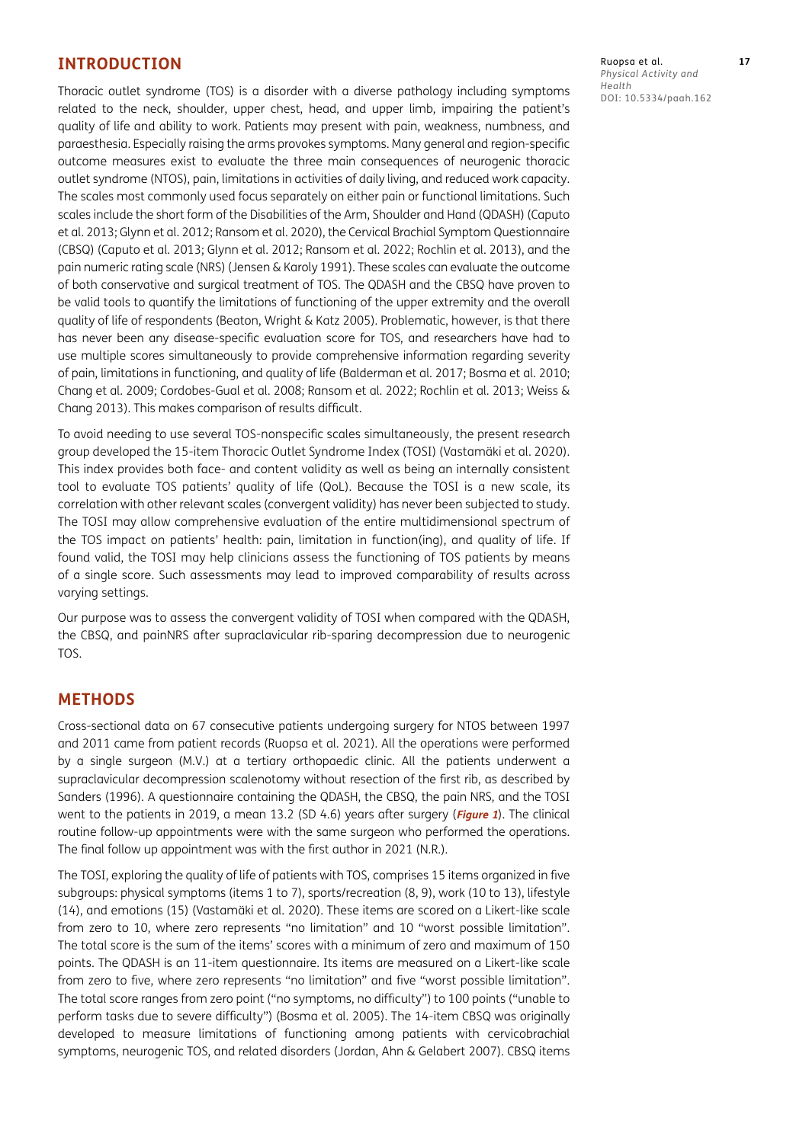#### **INTRODUCTION**

Thoracic outlet syndrome (TOS) is a disorder with a diverse pathology including symptoms related to the neck, shoulder, upper chest, head, and upper limb, impairing the patient's quality of life and ability to work. Patients may present with pain, weakness, numbness, and paraesthesia. Especially raising the arms provokes symptoms. Many general and region-specific outcome measures exist to evaluate the three main consequences of neurogenic thoracic outlet syndrome (NTOS), pain, limitations in activities of daily living, and reduced work capacity. The scales most commonly used focus separately on either pain or functional limitations. Such scales include the short form of the Disabilities of the Arm, Shoulder and Hand (QDASH) ([Caputo](#page-8-0)  [et al. 2013](#page-8-0); [Glynn et al. 2012;](#page-8-0) Ransom et al. 2020), the Cervical Brachial Symptom Questionnaire (CBSQ) ([Caputo et al. 2013](#page-8-0); [Glynn et al. 2012; Ransom et al. 2022; Rochlin et al. 2013\)](#page-8-0), and the pain numeric rating scale (NRS) ([Jensen & Karoly 1991](#page-8-0)). These scales can evaluate the outcome of both conservative and surgical treatment of TOS. The QDASH and the CBSQ have proven to be valid tools to quantify the limitations of functioning of the upper extremity and the overall quality of life of respondents ([Beaton, Wright & Katz 2005](#page-8-0)). Problematic, however, is that there has never been any disease-specific evaluation score for TOS, and researchers have had to use multiple scores simultaneously to provide comprehensive information regarding severity of pain, limitations in functioning, and quality of life [\(Balderman et al. 2017](#page-8-0); [Bosma et al. 2010](#page-8-0); [Chang et al. 2009](#page-8-0); [Cordobes-Gual et al. 2008](#page-8-0); [Ransom et al. 2022;](#page-8-0) [Rochlin et al. 2013](#page-8-0); [Weiss &](#page-8-0)  [Chang 2013](#page-8-0)). This makes comparison of results difficult.

To avoid needing to use several TOS-nonspecific scales simultaneously, the present research group developed the 15-item Thoracic Outlet Syndrome Index (TOSI) [\(Vastamäki et al. 2020](#page-8-0)). This index provides both face- and content validity as well as being an internally consistent tool to evaluate TOS patients' quality of life (QoL). Because the TOSI is a new scale, its correlation with other relevant scales (convergent validity) has never been subjected to study. The TOSI may allow comprehensive evaluation of the entire multidimensional spectrum of the TOS impact on patients' health: pain, limitation in function(ing), and quality of life. If found valid, the TOSI may help clinicians assess the functioning of TOS patients by means of a single score. Such assessments may lead to improved comparability of results across varying settings.

Our purpose was to assess the convergent validity of TOSI when compared with the QDASH, the CBSQ, and painNRS after supraclavicular rib-sparing decompression due to neurogenic TOS.

#### **METHODS**

Cross-sectional data on 67 consecutive patients undergoing surgery for NTOS between 1997 and 2011 came from patient records [\(Ruopsa et al. 2021\)](#page-8-0). All the operations were performed by a single surgeon (M.V.) at a tertiary orthopaedic clinic. All the patients underwent a supraclavicular decompression scalenotomy without resection of the first rib, as described by Sanders [\(1996\)](#page-8-0). A questionnaire containing the QDASH, the CBSQ, the pain NRS, and the TOSI went to the patients in 2019, a mean 13.2 (SD 4.6) years after surgery (**[Figure 1](#page-2-0)**). The clinical routine follow-up appointments were with the same surgeon who performed the operations. The final follow up appointment was with the first author in 2021 (N.R.).

The TOSI, exploring the quality of life of patients with TOS, comprises 15 items organized in five subgroups: physical symptoms (items 1 to 7), sports/recreation (8, 9), work (10 to 13), lifestyle (14), and emotions (15) [\(Vastamäki et al. 2020\)](#page-8-0). These items are scored on a Likert-like scale from zero to 10, where zero represents "no limitation" and 10 "worst possible limitation". The total score is the sum of the items' scores with a minimum of zero and maximum of 150 points. The QDASH is an 11-item questionnaire. Its items are measured on a Likert-like scale from zero to five, where zero represents "no limitation" and five "worst possible limitation". The total score ranges from zero point ("no symptoms, no difficulty") to 100 points ("unable to perform tasks due to severe difficulty") (Bosma et al. 2005). The 14-item CBSQ was originally developed to measure limitations of functioning among patients with cervicobrachial symptoms, neurogenic TOS, and related disorders ([Jordan, Ahn & Gelabert 2007\)](#page-8-0). CBSQ items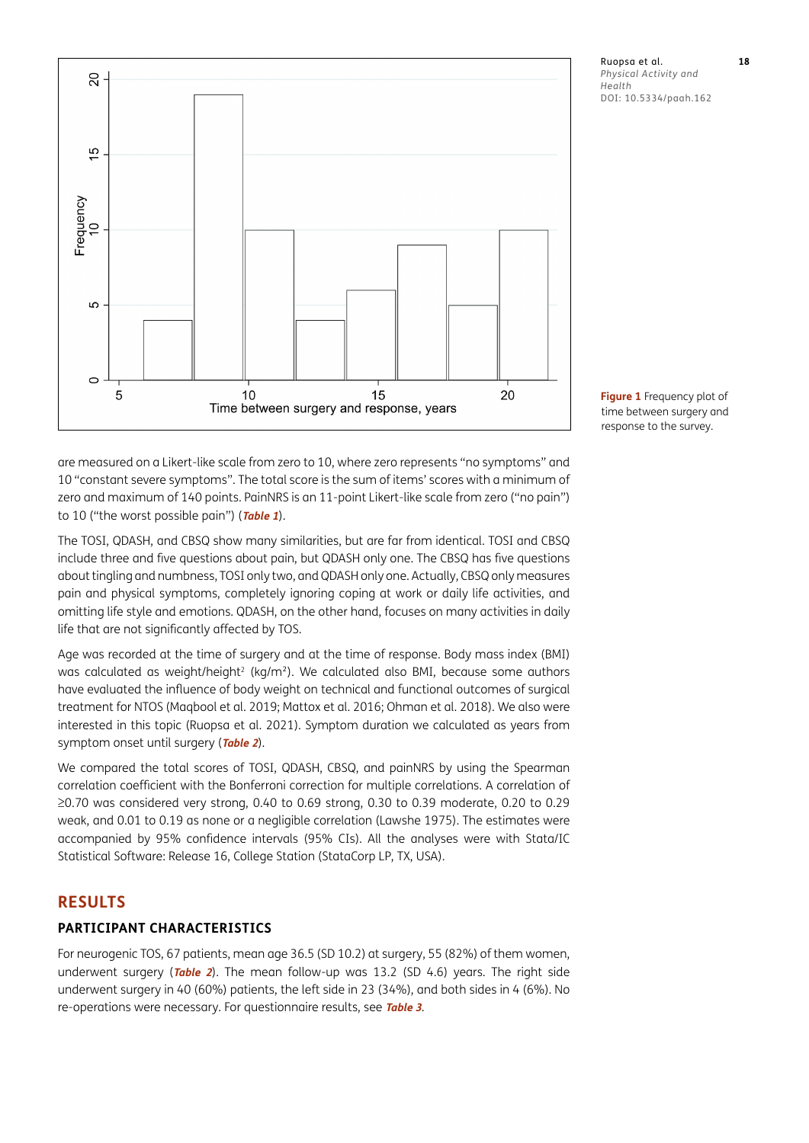

Ruopsa et al. **18** *Physical Activity and Health* DOI: 10.5334/paah.162

<span id="page-2-0"></span>**Figure 1** Frequency plot of time between surgery and response to the survey.

are measured on a Likert-like scale from zero to 10, where zero represents "no symptoms" and 10 "constant severe symptoms". The total score is the sum of items' scores with a minimum of zero and maximum of 140 points. PainNRS is an 11-point Likert-like scale from zero ("no pain") to 10 ("the worst possible pain") (**[Table](#page-3-0) <sup>1</sup>**).

The TOSI, QDASH, and CBSQ show many similarities, but are far from identical. TOSI and CBSQ include three and five questions about pain, but QDASH only one. The CBSQ has five questions about tingling and numbness, TOSI only two, and QDASH only one. Actually, CBSQ only measures pain and physical symptoms, completely ignoring coping at work or daily life activities, and omitting life style and emotions. QDASH, on the other hand, focuses on many activities in daily life that are not significantly affected by TOS.

Age was recorded at the time of surgery and at the time of response. Body mass index (BMI) was calculated as weight/height<sup>2</sup> (kg/m<sup>2</sup>). We calculated also BMI, because some authors have evaluated the influence of body weight on technical and functional outcomes of surgical treatment for NTOS [\(Maqbool et al. 2019; Mattox et al. 2016;](#page-8-0) [Ohman et al. 2018](#page-8-0)). We also were interested in this topic ([Ruopsa et al. 2021\)](#page-8-0). Symptom duration we calculated as years from symptom onset until surgery (**[Table 2](#page-4-0)**).

We compared the total scores of TOSI, QDASH, CBSQ, and painNRS by using the Spearman correlation coefficient with the Bonferroni correction for multiple correlations. A correlation of ≥0.70 was considered very strong, 0.40 to 0.69 strong, 0.30 to 0.39 moderate, 0.20 to 0.29 weak, and 0.01 to 0.19 as none or a negligible correlation [\(Lawshe 1975\)](#page-8-0). The estimates were accompanied by 95% confidence intervals (95% CIs). All the analyses were with Stata/IC Statistical Software: Release 16, College Station (StataCorp LP, TX, USA).

#### **RESULTS**

#### **PARTICIPANT CHARACTERISTICS**

For neurogenic TOS, 67 patients, mean age 36.5 (SD 10.2) at surgery, 55 (82%) of them women, underwent surgery (**[Table 2](#page-4-0)**). The mean follow-up was 13.2 (SD 4.6) years. The right side underwent surgery in 40 (60%) patients, the left side in 23 (34%), and both sides in 4 (6%). No re-operations were necessary. For questionnaire results, see **[Table 3](#page-4-1)**.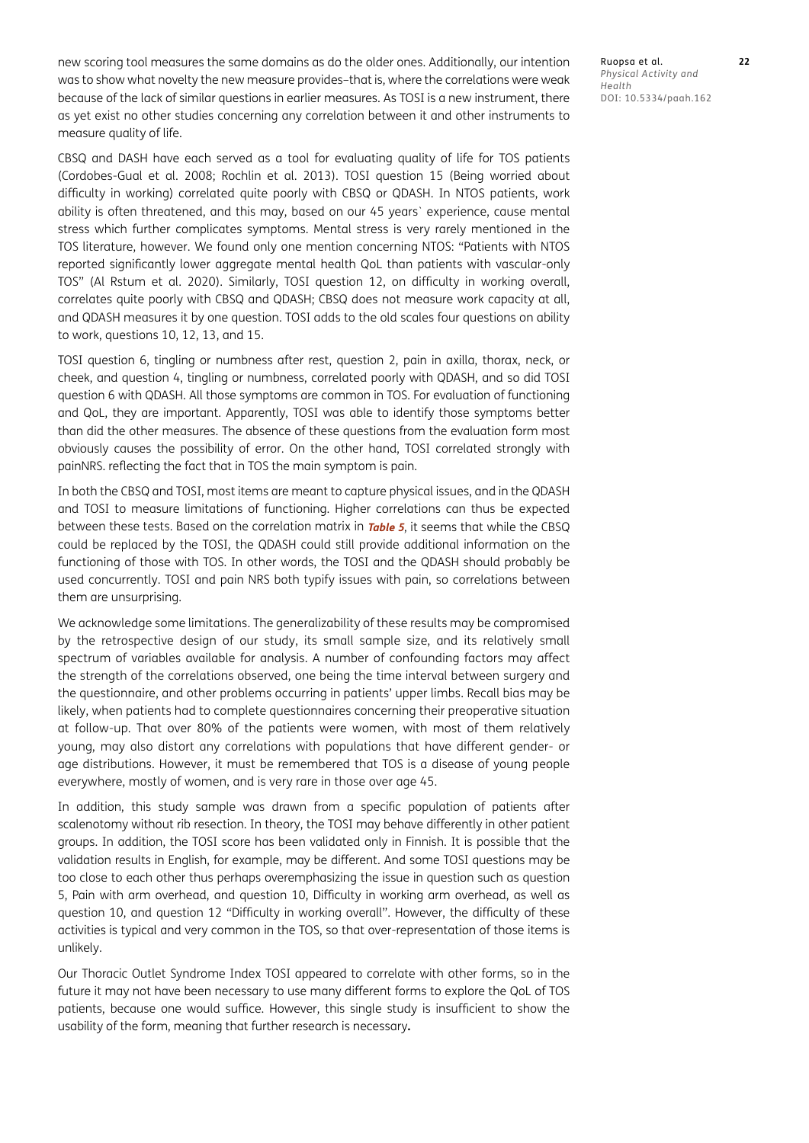new scoring tool measures the same domains as do the older ones. Additionally, our intention was to show what novelty the new measure provides–that is, where the correlations were weak because of the lack of similar questions in earlier measures. As TOSI is a new instrument, there as yet exist no other studies concerning any correlation between it and other instruments to measure quality of life.

CBSQ and DASH have each served as a tool for evaluating quality of life for TOS patients ([Cordobes-Gual et al. 2008;](#page-8-0) [Rochlin et al. 2013\)](#page-8-0). TOSI question 15 (Being worried about difficulty in working) correlated quite poorly with CBSQ or QDASH. In NTOS patients, work ability is often threatened, and this may, based on our 45 years` experience, cause mental stress which further complicates symptoms. Mental stress is very rarely mentioned in the TOS literature, however. We found only one mention concerning NTOS: "Patients with NTOS reported significantly lower aggregate mental health QoL than patients with vascular-only TOS" [\(Al Rstum et al. 2020\)](#page-7-1). Similarly, TOSI question 12, on difficulty in working overall, correlates quite poorly with CBSQ and QDASH; CBSQ does not measure work capacity at all, and QDASH measures it by one question. TOSI adds to the old scales four questions on ability to work, questions 10, 12, 13, and 15.

TOSI question 6, tingling or numbness after rest, question 2, pain in axilla, thorax, neck, or cheek, and question 4, tingling or numbness, correlated poorly with QDASH, and so did TOSI question 6 with QDASH. All those symptoms are common in TOS. For evaluation of functioning and QoL, they are important. Apparently, TOSI was able to identify those symptoms better than did the other measures. The absence of these questions from the evaluation form most obviously causes the possibility of error. On the other hand, TOSI correlated strongly with painNRS. reflecting the fact that in TOS the main symptom is pain.

In both the CBSQ and TOSI, most items are meant to capture physical issues, and in the QDASH and TOSI to measure limitations of functioning. Higher correlations can thus be expected between these tests. Based on the correlation matrix in **[Table 5](#page-5-0)**, it seems that while the CBSQ could be replaced by the TOSI, the QDASH could still provide additional information on the functioning of those with TOS. In other words, the TOSI and the QDASH should probably be used concurrently. TOSI and pain NRS both typify issues with pain, so correlations between them are unsurprising.

We acknowledge some limitations. The generalizability of these results may be compromised by the retrospective design of our study, its small sample size, and its relatively small spectrum of variables available for analysis. A number of confounding factors may affect the strength of the correlations observed, one being the time interval between surgery and the questionnaire, and other problems occurring in patients' upper limbs. Recall bias may be likely, when patients had to complete questionnaires concerning their preoperative situation at follow-up. That over 80% of the patients were women, with most of them relatively young, may also distort any correlations with populations that have different gender- or age distributions. However, it must be remembered that TOS is a disease of young people everywhere, mostly of women, and is very rare in those over age 45.

In addition, this study sample was drawn from a specific population of patients after scalenotomy without rib resection. In theory, the TOSI may behave differently in other patient groups. In addition, the TOSI score has been validated only in Finnish. It is possible that the validation results in English, for example, may be different. And some TOSI questions may be too close to each other thus perhaps overemphasizing the issue in question such as question 5, Pain with arm overhead, and question 10, Difficulty in working arm overhead, as well as question 10, and question 12 "Difficulty in working overall". However, the difficulty of these activities is typical and very common in the TOS, so that over-representation of those items is unlikely.

Our Thoracic Outlet Syndrome Index TOSI appeared to correlate with other forms, so in the future it may not have been necessary to use many different forms to explore the QoL of TOS patients, because one would suffice. However, this single study is insufficient to show the usability of the form, meaning that further research is necessary**.**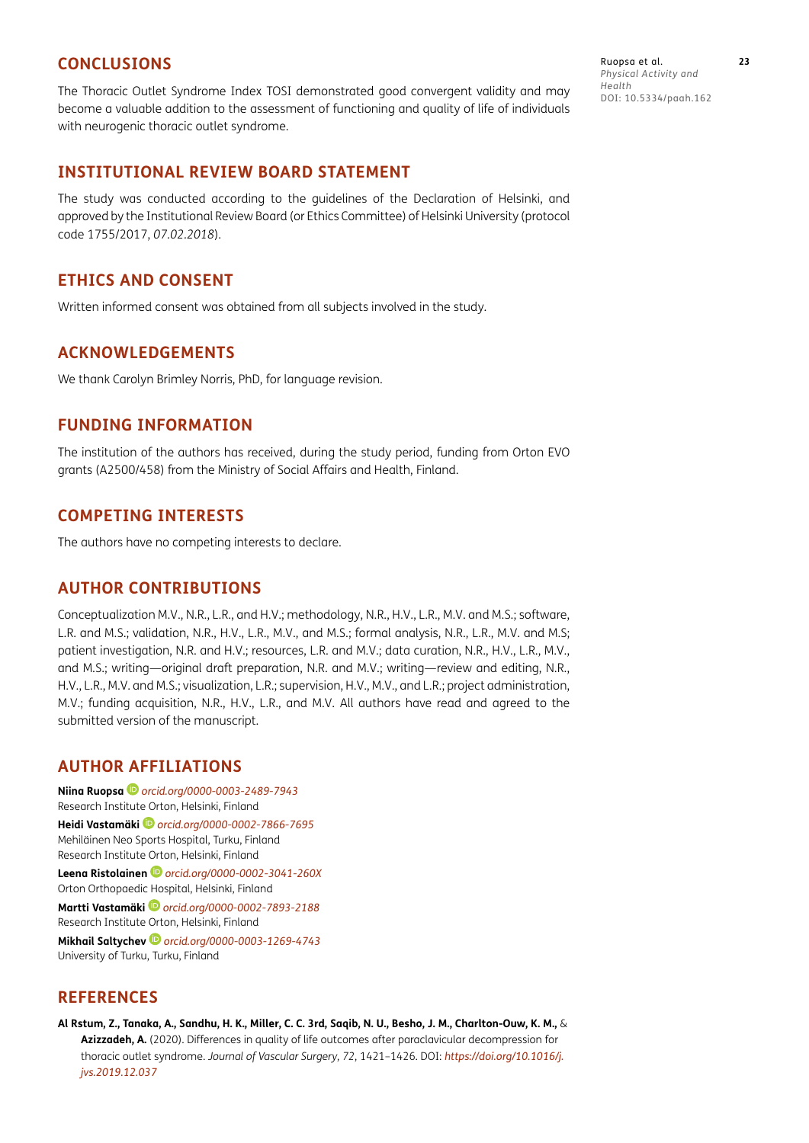#### <span id="page-7-1"></span>**CONCLUSIONS**

The Thoracic Outlet Syndrome Index TOSI demonstrated good convergent validity and may become a valuable addition to the assessment of functioning and quality of life of individuals with neurogenic thoracic outlet syndrome.

#### **INSTITUTIONAL REVIEW BOARD STATEMENT**

The study was conducted according to the guidelines of the Declaration of Helsinki, and approved by the Institutional Review Board (or Ethics Committee) of Helsinki University (protocol code 1755/2017, *07.02.2018*).

#### **ETHICS AND CONSENT**

Written informed consent was obtained from all subjects involved in the study.

#### **ACKNOWLEDGEMENTS**

We thank Carolyn Brimley Norris, PhD, for language revision.

#### **FUNDING INFORMATION**

The institution of the authors has received, during the study period, funding from Orton EVO grants (A2500/458) from the Ministry of Social Affairs and Health, Finland.

#### **COMPETING INTERESTS**

The authors have no competing interests to declare.

#### **AUTHOR CONTRIBUTIONS**

Conceptualization M.V., N.R., L.R., and H.V.; methodology, N.R., H.V., L.R., M.V. and M.S.; software, L.R. and M.S.; validation, N.R., H.V., L.R., M.V., and M.S.; formal analysis, N.R., L.R., M.V. and M.S; patient investigation, N.R. and H.V.; resources, L.R. and M.V.; data curation, N.R., H.V., L.R., M.V., and M.S.; writing—original draft preparation, N.R. and M.V.; writing—review and editing, N.R., H.V., L.R., M.V. and M.S.; visualization, L.R.; supervision, H.V., M.V., and L.R.; project administration, M.V.; funding acquisition, N.R., H.V., L.R., and M.V. All authors have read and agreed to the submitted version of the manuscript.

#### <span id="page-7-0"></span>**AUTHOR AFFILIATIONS**

**Niina Ruopsa***[orcid.org/0000-0003-2489-7943](https://orcid.org/0000-0003-2489-7943)* Research Institute Orton, Helsinki, Finland **Heidi Vastamäki** *[orcid.org/0000-0002-7866-7695](https://orcid.org/0000-0002-7866-7695)* Mehiläinen Neo Sports Hospital, Turku, Finland Research Institute Orton, Helsinki, Finland **Leena Ristolainen** *[orcid.org/0000-0002-3041-260X](https://orcid.org/0000-0002-3041-260X)* Orton Orthopaedic Hospital, Helsinki, Finland **Martti Vastamäki***[orcid.org/0000-0002-7893-2188](https://orcid.org/0000-0002-7893-2188)* Research Institute Orton, Helsinki, Finland **Mikhail Saltychev** *[orcid.org/0000-0003-1269-4743](https://orcid.org/0000-0003-1269-4743)* University of Turku, Turku, Finland

### **REFERENCES**

**Al Rstum, Z., Tanaka, A., Sandhu, H. K., Miller, C. C. 3rd, Saqib, N. U., Besho, J. M., Charlton-Ouw, K. M.,** & **Azizzadeh, A.** (2020). Differences in quality of life outcomes after paraclavicular decompression for thoracic outlet syndrome. *Journal of Vascular Surgery*, *72*, 1421–1426. DOI: *[https://doi.org/10.1016/j.](https://doi.org/10.1016/j.jvs.2019.12.037) [jvs.2019.12.037](https://doi.org/10.1016/j.jvs.2019.12.037)*

Ruopsa et al. **23** *Physical Activity and Health* DOI: 10.5334/paah.162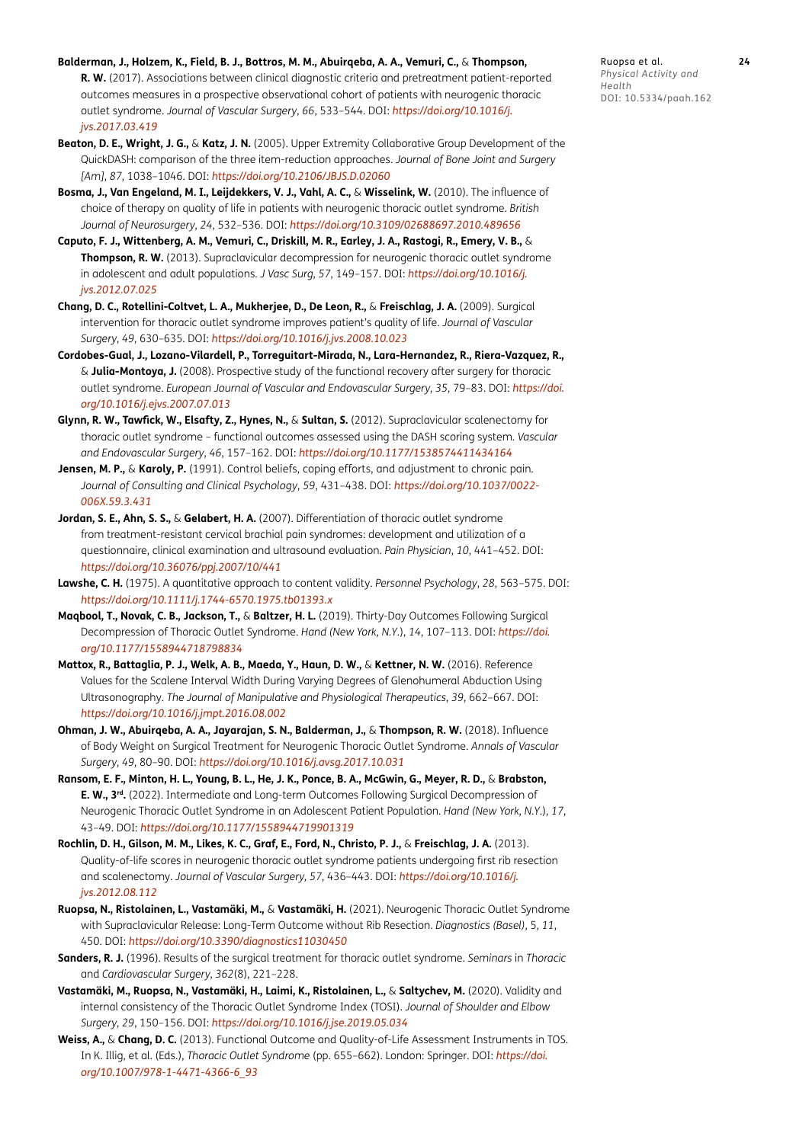- <span id="page-8-0"></span>**Balderman, J., Holzem, K., Field, B. J., Bottros, M. M., Abuirqeba, A. A., Vemuri, C.,** & **Thompson, R. W.** (2017). Associations between clinical diagnostic criteria and pretreatment patient-reported outcomes measures in a prospective observational cohort of patients with neurogenic thoracic outlet syndrome. *Journal of Vascular Surgery*, *66*, 533–544. DOI: *[https://doi.org/10.1016/j.](https://doi.org/10.1016/j.jvs.2017.03.419) [jvs.2017.03.419](https://doi.org/10.1016/j.jvs.2017.03.419)*
- **Beaton, D. E., Wright, J. G.,** & **Katz, J. N.** (2005). Upper Extremity Collaborative Group Development of the QuickDASH: comparison of the three item-reduction approaches. *Journal of Bone Joint and Surgery [Am]*, *87*, 1038–1046. DOI: *<https://doi.org/10.2106/JBJS.D.02060>*
- **Bosma, J., Van Engeland, M. I., Leijdekkers, V. J., Vahl, A. C.,** & **Wisselink, W.** (2010). The influence of choice of therapy on quality of life in patients with neurogenic thoracic outlet syndrome. *British Journal of Neurosurgery*, *24*, 532–536. DOI: *<https://doi.org/10.3109/02688697.2010.489656>*
- **Caputo, F. J., Wittenberg, A. M., Vemuri, C., Driskill, M. R., Earley, J. A., Rastogi, R., Emery, V. B.,** & **Thompson, R. W.** (2013). Supraclavicular decompression for neurogenic thoracic outlet syndrome in adolescent and adult populations. *J Vasc Surg*, *57*, 149–157. DOI: *[https://doi.org/10.1016/j.](https://doi.org/10.1016/j.jvs.2012.07.025) [jvs.2012.07.025](https://doi.org/10.1016/j.jvs.2012.07.025)*
- **Chang, D. C., Rotellini-Coltvet, L. A., Mukherjee, D., De Leon, R.,** & **Freischlag, J. A.** (2009). Surgical intervention for thoracic outlet syndrome improves patient's quality of life. *Journal of Vascular Surgery*, *49*, 630–635. DOI: *<https://doi.org/10.1016/j.jvs.2008.10.023>*
- **Cordobes-Gual, J., Lozano-Vilardell, P., Torreguitart-Mirada, N., Lara-Hernandez, R., Riera-Vazquez, R.,**  & **Julia-Montoya, J.** (2008). Prospective study of the functional recovery after surgery for thoracic outlet syndrome. *European Journal of Vascular and Endovascular Surgery*, *35*, 79–83. DOI: *[https://doi.](https://doi.org/10.1016/j.ejvs.2007.07.013) [org/10.1016/j.ejvs.2007.07.013](https://doi.org/10.1016/j.ejvs.2007.07.013)*
- **Glynn, R. W., Tawfick, W., Elsafty, Z., Hynes, N.,** & **Sultan, S.** (2012). Supraclavicular scalenectomy for thoracic outlet syndrome – functional outcomes assessed using the DASH scoring system. *Vascular and Endovascular Surgery*, *46*, 157–162. DOI: *<https://doi.org/10.1177/1538574411434164>*
- **Jensen, M. P.,** & **Karoly, P.** (1991). Control beliefs, coping efforts, and adjustment to chronic pain*. Journal of Consulting and Clinical Psychology*, *59*, 431–438. DOI: *[https://doi.org/10.1037/0022-](https://doi.org/10.1037/0022-006X.59.3.431) [006X.59.3.431](https://doi.org/10.1037/0022-006X.59.3.431)*
- **Jordan, S. E., Ahn, S. S.,** & **Gelabert, H. A.** (2007). Differentiation of thoracic outlet syndrome from treatment-resistant cervical brachial pain syndromes: development and utilization of a questionnaire, clinical examination and ultrasound evaluation. *Pain Physician*, *10*, 441–452. DOI: *<https://doi.org/10.36076/ppj.2007/10/441>*
- **Lawshe, C. H.** (1975). A quantitative approach to content validity. *Personnel Psychology*, *28*, 563–575. DOI: *<https://doi.org/10.1111/j.1744-6570.1975.tb01393.x>*
- **Maqbool, T., Novak, C. B., Jackson, T.,** & **Baltzer, H. L.** (2019). Thirty-Day Outcomes Following Surgical Decompression of Thoracic Outlet Syndrome. *Hand (New York, N.Y*.), *14*, 107–113. DOI: *[https://doi.](https://doi.org/10.1177/1558944718798834) [org/10.1177/1558944718798834](https://doi.org/10.1177/1558944718798834)*
- **Mattox, R., Battaglia, P. J., Welk, A. B., Maeda, Y., Haun, D. W.,** & **Kettner, N. W.** (2016). Reference Values for the Scalene Interval Width During Varying Degrees of Glenohumeral Abduction Using Ultrasonography. *The Journal of Manipulative and Physiological Therapeutics*, *39*, 662–667. DOI: *<https://doi.org/10.1016/j.jmpt.2016.08.002>*
- **Ohman, J. W., Abuirqeba, A. A., Jayarajan, S. N., Balderman, J.,** & **Thompson, R. W.** (2018). Influence of Body Weight on Surgical Treatment for Neurogenic Thoracic Outlet Syndrome. *Annals of Vascular Surgery*, *49*, 80–90. DOI: *<https://doi.org/10.1016/j.avsg.2017.10.031>*
- **Ransom, E. F., Minton, H. L., Young, B. L., He, J. K., Ponce, B. A., McGwin, G., Meyer, R. D.,** & **Brabston, E. W., 3rd.** (2022). Intermediate and Long-term Outcomes Following Surgical Decompression of Neurogenic Thoracic Outlet Syndrome in an Adolescent Patient Population. *Hand (New York, N.Y*.), *17*, 43–49. DOI: *<https://doi.org/10.1177/1558944719901319>*
- **Rochlin, D. H., Gilson, M. M., Likes, K. C., Graf, E., Ford, N., Christo, P. J.,** & **Freischlag, J. A.** (2013). Quality-of-life scores in neurogenic thoracic outlet syndrome patients undergoing first rib resection and scalenectomy. *Journal of Vascular Surgery, 57*, 436–443. DOI: *[https://doi.org/10.1016/j.](https://doi.org/10.1016/j.jvs.2012.08.112) [jvs.2012.08.112](https://doi.org/10.1016/j.jvs.2012.08.112)*
- **Ruopsa, N., Ristolainen, L., Vastamäki, M.,** & **Vastamäki, H.** (2021). Neurogenic Thoracic Outlet Syndrome with Supraclavicular Release: Long-Term Outcome without Rib Resection. *Diagnostics (Basel)*, 5, *11*, 450. DOI: *<https://doi.org/10.3390/diagnostics11030450>*
- **Sanders, R. J.** (1996). Results of the surgical treatment for thoracic outlet syndrome. *Seminars* in *Thoracic* and *Cardiovascular Surgery*, *362*(8), 221–228.
- **Vastamäki, M., Ruopsa, N., Vastamäki, H., Laimi, K., Ristolainen, L.,** & **Saltychev, M.** (2020). Validity and internal consistency of the Thoracic Outlet Syndrome Index (TOSI). *Journal of Shoulder and Elbow Surgery*, *29*, 150–156. DOI: *<https://doi.org/10.1016/j.jse.2019.05.034>*
- **Weiss, A.,** & **Chang, D. C.** (2013). Functional Outcome and Quality-of-Life Assessment Instruments in TOS. In K. Illig, et al. (Eds.), *Thoracic Outlet Syndrome* (pp. 655–662). London: Springer. DOI: *[https://doi.](https://doi.org/10.1007/978-1-4471-4366-6_93) [org/10.1007/978-1-4471-4366-6\\_93](https://doi.org/10.1007/978-1-4471-4366-6_93)*